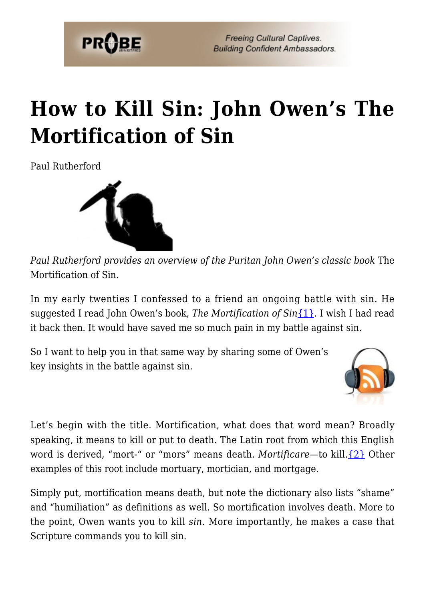

**Freeing Cultural Captives. Building Confident Ambassadors.** 

# **[How to Kill Sin: John Owen's The](https://probe.org/how-to-kill-sin-john-owens-the-mortification-of-sin/) [Mortification of Sin](https://probe.org/how-to-kill-sin-john-owens-the-mortification-of-sin/)**

Paul Rutherford



*Paul Rutherford provides an overview of the Puritan John Owen's classic book* The Mortification of Sin.

In my early twenties I confessed to a friend an ongoing battle with sin. He suggested I read John Owen's book, *The Mortification of Sin*[{1}](#page-6-0). I wish I had read it back then. It would have saved me so much pain in my battle against sin.

So I want to help you in that same way by sharing some of Owen's key insights in the battle against sin.



Let's begin with the title. Mortification, what does that word mean? Broadly speaking, it means to kill or put to death. The Latin root from which this English word is derived, "mort-" or "mors" means death. *Mortificare*—to kill.[{2}](#page-6-1) Other examples of this root include mortuary, mortician, and mortgage.

Simply put, mortification means death, but note the dictionary also lists "shame" and "humiliation" as definitions as well. So mortification involves death. More to the point, Owen wants you to kill *sin*. More importantly, he makes a case that Scripture commands you to kill sin.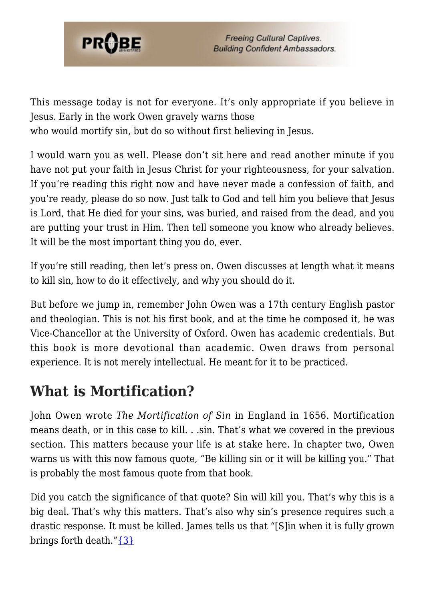

This message today is not for everyone. It's only appropriate if you believe in Jesus. Early in the work Owen gravely warns those who would mortify sin, but do so without first believing in Jesus.

I would warn you as well. Please don't sit here and read another minute if you have not put your faith in Jesus Christ for your righteousness, for your salvation. If you're reading this right now and have never made a confession of faith, and you're ready, please do so now. Just talk to God and tell him you believe that Jesus is Lord, that He died for your sins, was buried, and raised from the dead, and you are putting your trust in Him. Then tell someone you know who already believes. It will be the most important thing you do, ever.

If you're still reading, then let's press on. Owen discusses at length what it means to kill sin, how to do it effectively, and why you should do it.

But before we jump in, remember John Owen was a 17th century English pastor and theologian. This is not his first book, and at the time he composed it, he was Vice-Chancellor at the University of Oxford. Owen has academic credentials. But this book is more devotional than academic. Owen draws from personal experience. It is not merely intellectual. He meant for it to be practiced.

### **What is Mortification?**

John Owen wrote *The Mortification of Sin* in England in 1656. Mortification means death, or in this case to kill. . .sin. That's what we covered in the previous section. This matters because your life is at stake here. In chapter two, Owen warns us with this now famous quote, "Be killing sin or it will be killing you." That is probably the most famous quote from that book.

Did you catch the significance of that quote? Sin will kill you. That's why this is a big deal. That's why this matters. That's also why sin's presence requires such a drastic response. It must be killed. James tells us that "[S]in when it is fully grown brings forth death." $\{3\}$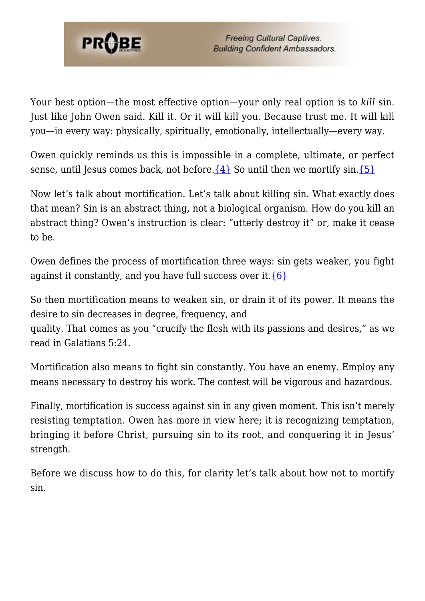

Your best option—the most effective option—your only real option is to *kill* sin. Just like John Owen said. Kill it. Or it will kill you. Because trust me. It will kill you—in every way: physically, spiritually, emotionally, intellectually—every way.

Owen quickly reminds us this is impossible in a complete, ultimate, or perfect sense, until Jesus comes back, not before.  $\{4\}$  So until then we mortify sin.  $\{5\}$ 

Now let's talk about mortification. Let's talk about killing sin. What exactly does that mean? Sin is an abstract thing, not a biological organism. How do you kill an abstract thing? Owen's instruction is clear: "utterly destroy it" or, make it cease to be.

Owen defines the process of mortification three ways: sin gets weaker, you fight against it constantly, and you have full success over it.  $\{6\}$ 

So then mortification means to weaken sin, or drain it of its power. It means the desire to sin decreases in degree, frequency, and

quality. That comes as you "crucify the flesh with its passions and desires," as we read in Galatians 5:24.

Mortification also means to fight sin constantly. You have an enemy. Employ any means necessary to destroy his work. The contest will be vigorous and hazardous.

Finally, mortification is success against sin in any given moment. This isn't merely resisting temptation. Owen has more in view here; it is recognizing temptation, bringing it before Christ, pursuing sin to its root, and conquering it in Jesus' strength.

Before we discuss how to do this, for clarity let's talk about how not to mortify sin.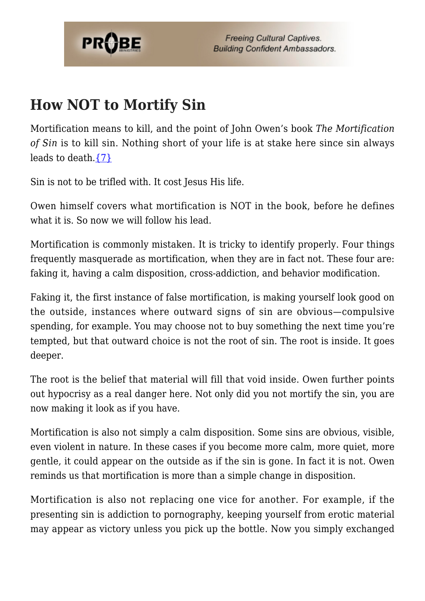

### **How NOT to Mortify Sin**

Mortification means to kill, and the point of John Owen's book *The Mortification of Sin* is to kill sin. Nothing short of your life is at stake here since sin always leads to death[.{7}](#page-6-6)

Sin is not to be trifled with. It cost Jesus His life.

Owen himself covers what mortification is NOT in the book, before he defines what it is. So now we will follow his lead.

Mortification is commonly mistaken. It is tricky to identify properly. Four things frequently masquerade as mortification, when they are in fact not. These four are: faking it, having a calm disposition, cross-addiction, and behavior modification.

Faking it, the first instance of false mortification, is making yourself look good on the outside, instances where outward signs of sin are obvious—compulsive spending, for example. You may choose not to buy something the next time you're tempted, but that outward choice is not the root of sin. The root is inside. It goes deeper.

The root is the belief that material will fill that void inside. Owen further points out hypocrisy as a real danger here. Not only did you not mortify the sin, you are now making it look as if you have.

Mortification is also not simply a calm disposition. Some sins are obvious, visible, even violent in nature. In these cases if you become more calm, more quiet, more gentle, it could appear on the outside as if the sin is gone. In fact it is not. Owen reminds us that mortification is more than a simple change in disposition.

Mortification is also not replacing one vice for another. For example, if the presenting sin is addiction to pornography, keeping yourself from erotic material may appear as victory unless you pick up the bottle. Now you simply exchanged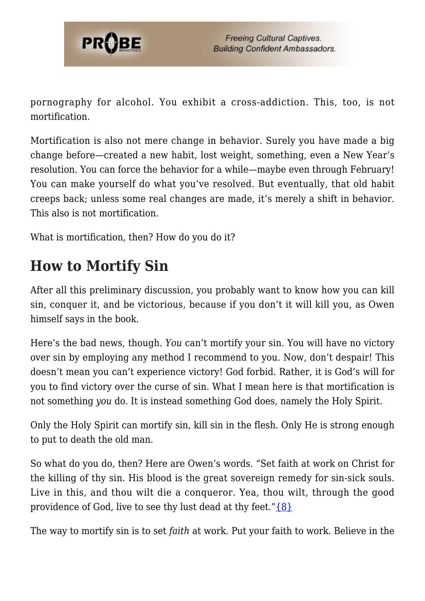

pornography for alcohol. You exhibit a cross-addiction. This, too, is not mortification.

Mortification is also not mere change in behavior. Surely you have made a big change before—created a new habit, lost weight, something, even a New Year's resolution. You can force the behavior for a while—maybe even through February! You can make yourself do what you've resolved. But eventually, that old habit creeps back; unless some real changes are made, it's merely a shift in behavior. This also is not mortification.

What is mortification, then? How do you do it?

### **How to Mortify Sin**

After all this preliminary discussion, you probably want to know how you can kill sin, conquer it, and be victorious, because if you don't it will kill you, as Owen himself says in the book.

Here's the bad news, though. *You* can't mortify your sin. You will have no victory over sin by employing any method I recommend to you. Now, don't despair! This doesn't mean you can't experience victory! God forbid. Rather, it is God's will for you to find victory over the curse of sin. What I mean here is that mortification is not something *you* do. It is instead something God does, namely the Holy Spirit.

Only the Holy Spirit can mortify sin, kill sin in the flesh. Only He is strong enough to put to death the old man.

So what do you do, then? Here are Owen's words. "Set faith at work on Christ for the killing of thy sin. His blood is the great sovereign remedy for sin-sick souls. Live in this, and thou wilt die a conqueror. Yea, thou wilt, through the good providence of God, live to see thy lust dead at thy feet." ${8}$ 

The way to mortify sin is to set *faith* at work. Put your faith to work. Believe in the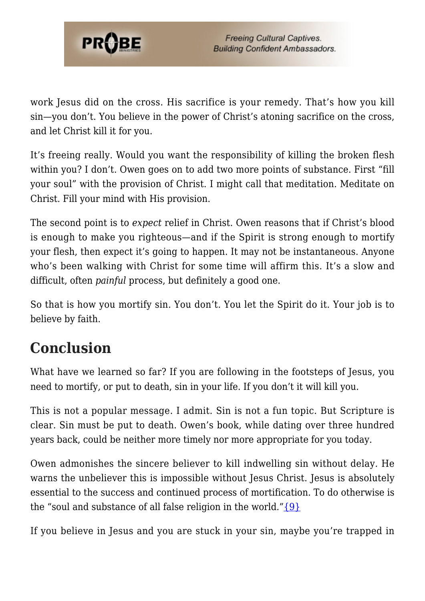

work Jesus did on the cross. His sacrifice is your remedy. That's how you kill sin—you don't. You believe in the power of Christ's atoning sacrifice on the cross, and let Christ kill it for you.

It's freeing really. Would you want the responsibility of killing the broken flesh within you? I don't. Owen goes on to add two more points of substance. First "fill your soul" with the provision of Christ. I might call that meditation. Meditate on Christ. Fill your mind with His provision.

The second point is to *expect* relief in Christ. Owen reasons that if Christ's blood is enough to make you righteous—and if the Spirit is strong enough to mortify your flesh, then expect it's going to happen. It may not be instantaneous. Anyone who's been walking with Christ for some time will affirm this. It's a slow and difficult, often *painful* process, but definitely a good one.

So that is how you mortify sin. You don't. You let the Spirit do it. Your job is to believe by faith.

## **Conclusion**

What have we learned so far? If you are following in the footsteps of Jesus, you need to mortify, or put to death, sin in your life. If you don't it will kill you.

This is not a popular message. I admit. Sin is not a fun topic. But Scripture is clear. Sin must be put to death. Owen's book, while dating over three hundred years back, could be neither more timely nor more appropriate for you today.

Owen admonishes the sincere believer to kill indwelling sin without delay. He warns the unbeliever this is impossible without Jesus Christ. Jesus is absolutely essential to the success and continued process of mortification. To do otherwise is the "soul and substance of all false religion in the world." $\{9\}$ 

If you believe in Jesus and you are stuck in your sin, maybe you're trapped in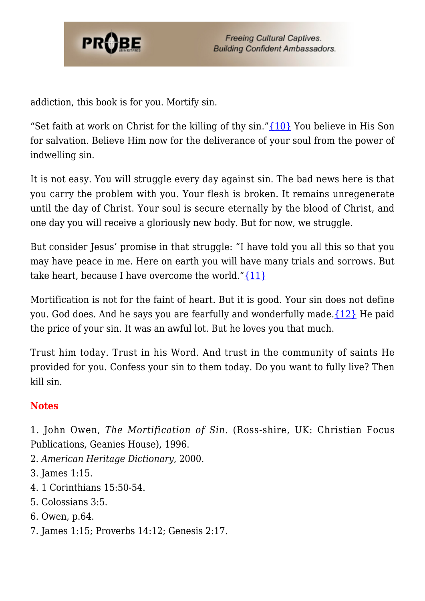

addiction, this book is for you. Mortify sin.

"Set faith at work on Christ for the killing of thy  $\sin$ ." $\{10\}$  You believe in His Son for salvation. Believe Him now for the deliverance of your soul from the power of indwelling sin.

It is not easy. You will struggle every day against sin. The bad news here is that you carry the problem with you. Your flesh is broken. It remains unregenerate until the day of Christ. Your soul is secure eternally by the blood of Christ, and one day you will receive a gloriously new body. But for now, we struggle.

But consider Jesus' promise in that struggle: "I have told you all this so that you may have peace in me. Here on earth you will have many trials and sorrows. But take heart, because I have overcome the world." $\{11\}$ 

Mortification is not for the faint of heart. But it is good. Your sin does not define you. God does. And he says you are fearfully and wonderfully made.  $\{12\}$  He paid the price of your sin. It was an awful lot. But he loves you that much.

Trust him today. Trust in his Word. And trust in the community of saints He provided for you. Confess your sin to them today. Do you want to fully live? Then kill sin.

#### **Notes**

<span id="page-6-0"></span>1. John Owen, *The Mortification of Sin*. (Ross-shire, UK: Christian Focus Publications, Geanies House), 1996.

- <span id="page-6-1"></span>2. *American Heritage Dictionary*, 2000.
- <span id="page-6-2"></span>3. James 1:15.
- <span id="page-6-3"></span>4. 1 Corinthians 15:50-54.
- <span id="page-6-4"></span>5. Colossians 3:5.
- <span id="page-6-5"></span>6. Owen, p.64.
- <span id="page-6-7"></span><span id="page-6-6"></span>7. James 1:15; Proverbs 14:12; Genesis 2:17.